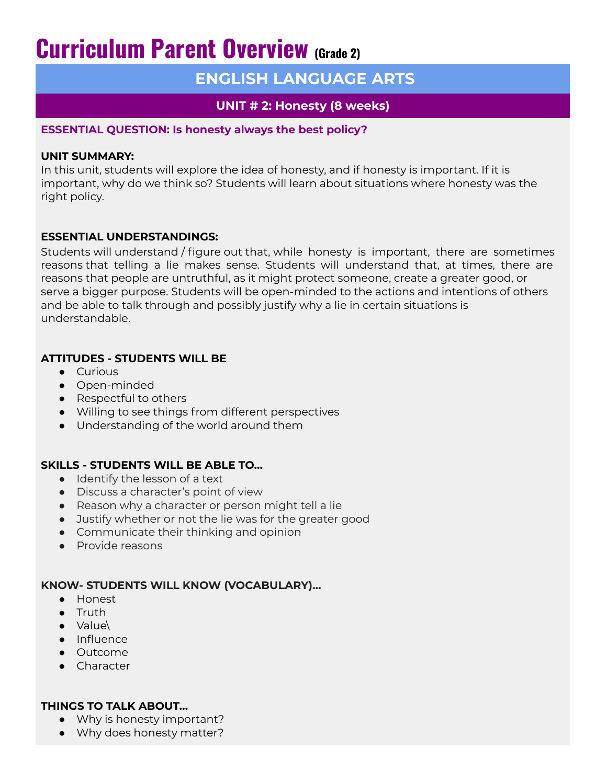# **Curriculum Parent Overview (Grade 2)**

## **ENGLISH LANGUAGE ARTS**

### **UNIT # 2: Honesty (8 weeks)**

#### **ESSENTIAL QUESTION: Is honesty always the best policy?**

#### **UNIT SUMMARY:**

In this unit, students will explore the idea of honesty, and if honesty is important. If it is important, why do we think so? Students will learn about situations where honesty was the right policy.

#### **ESSENTIAL UNDERSTANDINGS:**

Students will understand / figure out that, while honesty is important, there are sometimes reasons that telling a lie makes sense. Students will understand that, at times, there are reasons that people are untruthful, as it might protect someone, create a greater good, or serve a bigger purpose. Students will be open-minded to the actions and intentions of others and be able to talk through and possibly justify why a lie in certain situations is understandable.

#### **ATTITUDES - STUDENTS WILL BE**

- Curious
- Open-minded
- Respectful to others
- Willing to see things from different perspectives
- Understanding of the world around them

#### **SKILLS - STUDENTS WILL BE ABLE TO…**

- Identify the lesson of a text
- Discuss a character's point of view
- Reason why a character or person might tell a lie
- Justify whether or not the lie was for the greater good
- Communicate their thinking and opinion
- Provide reasons

#### **KNOW- STUDENTS WILL KNOW (VOCABULARY)…**

- Honest
- Truth
- Value\
- Influence
- Outcome
- Character

#### **THINGS TO TALK ABOUT…**

- Why is honesty important?
- Why does honesty matter?